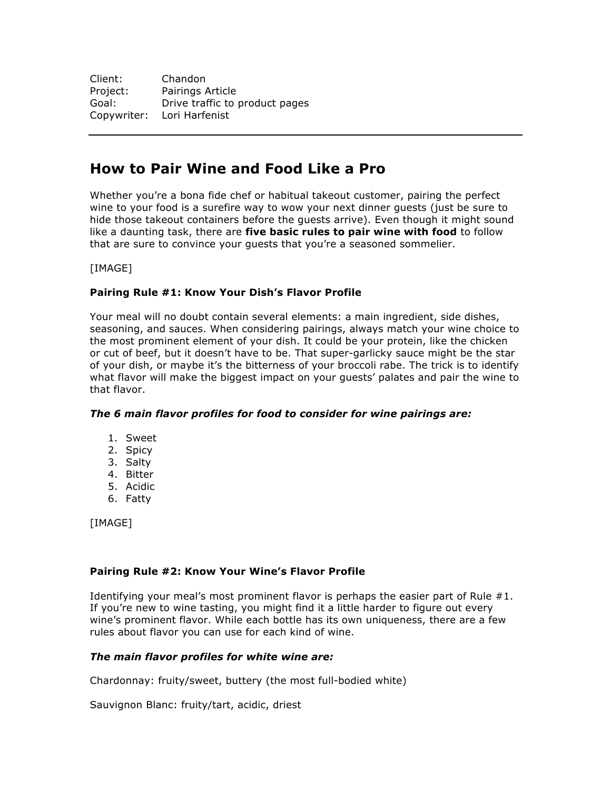| Client:  | Chandon                        |
|----------|--------------------------------|
| Project: | Pairings Article               |
| Goal:    | Drive traffic to product pages |
|          | Copywriter: Lori Harfenist     |

# **How to Pair Wine and Food Like a Pro**

Whether you're a bona fide chef or habitual takeout customer, pairing the perfect wine to your food is a surefire way to wow your next dinner guests (just be sure to hide those takeout containers before the guests arrive). Even though it might sound like a daunting task, there are **five basic rules to pair wine with food** to follow that are sure to convince your guests that you're a seasoned sommelier.

[IMAGE]

# **Pairing Rule #1: Know Your Dish's Flavor Profile**

Your meal will no doubt contain several elements: a main ingredient, side dishes, seasoning, and sauces. When considering pairings, always match your wine choice to the most prominent element of your dish. It could be your protein, like the chicken or cut of beef, but it doesn't have to be. That super-garlicky sauce might be the star of your dish, or maybe it's the bitterness of your broccoli rabe. The trick is to identify what flavor will make the biggest impact on your guests' palates and pair the wine to that flavor.

# *The 6 main flavor profiles for food to consider for wine pairings are:*

- 1. Sweet
- 2. Spicy
- 3. Salty
- 4. Bitter
- 5. Acidic
- 6. Fatty

[IMAGE]

# **Pairing Rule #2: Know Your Wine's Flavor Profile**

Identifying your meal's most prominent flavor is perhaps the easier part of Rule #1. If you're new to wine tasting, you might find it a little harder to figure out every wine's prominent flavor. While each bottle has its own uniqueness, there are a few rules about flavor you can use for each kind of wine.

# *The main flavor profiles for white wine are:*

Chardonnay: fruity/sweet, buttery (the most full-bodied white)

Sauvignon Blanc: fruity/tart, acidic, driest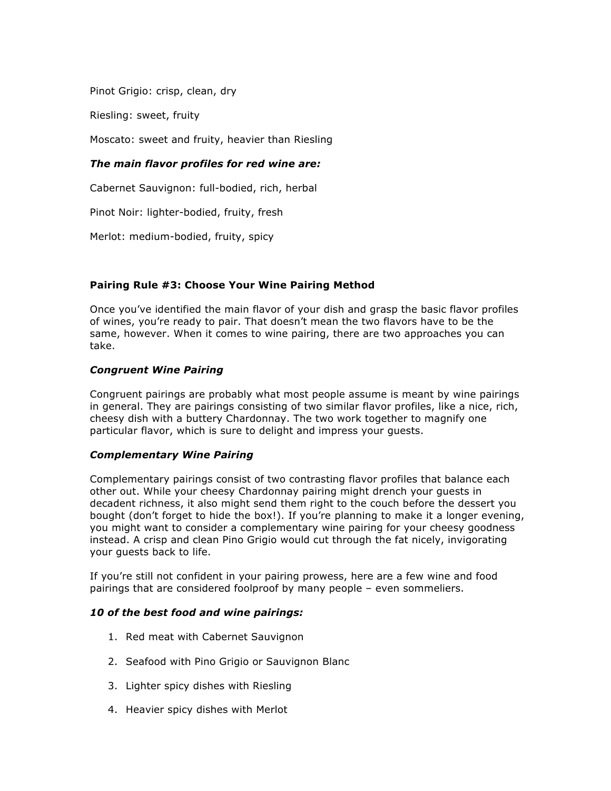Pinot Grigio: crisp, clean, dry

Riesling: sweet, fruity

Moscato: sweet and fruity, heavier than Riesling

# *The main flavor profiles for red wine are:*

Cabernet Sauvignon: full-bodied, rich, herbal

Pinot Noir: lighter-bodied, fruity, fresh

Merlot: medium-bodied, fruity, spicy

# **Pairing Rule #3: Choose Your Wine Pairing Method**

Once you've identified the main flavor of your dish and grasp the basic flavor profiles of wines, you're ready to pair. That doesn't mean the two flavors have to be the same, however. When it comes to wine pairing, there are two approaches you can take.

## *Congruent Wine Pairing*

Congruent pairings are probably what most people assume is meant by wine pairings in general. They are pairings consisting of two similar flavor profiles, like a nice, rich, cheesy dish with a buttery Chardonnay. The two work together to magnify one particular flavor, which is sure to delight and impress your guests.

#### *Complementary Wine Pairing*

Complementary pairings consist of two contrasting flavor profiles that balance each other out. While your cheesy Chardonnay pairing might drench your guests in decadent richness, it also might send them right to the couch before the dessert you bought (don't forget to hide the box!). If you're planning to make it a longer evening, you might want to consider a complementary wine pairing for your cheesy goodness instead. A crisp and clean Pino Grigio would cut through the fat nicely, invigorating your guests back to life.

If you're still not confident in your pairing prowess, here are a few wine and food pairings that are considered foolproof by many people – even sommeliers.

#### *10 of the best food and wine pairings:*

- 1. Red meat with Cabernet Sauvignon
- 2. Seafood with Pino Grigio or Sauvignon Blanc
- 3. Lighter spicy dishes with Riesling
- 4. Heavier spicy dishes with Merlot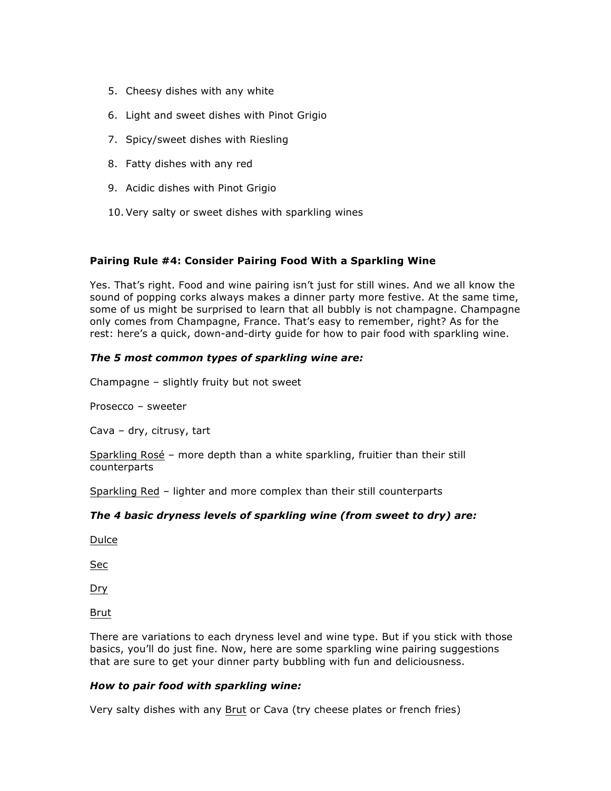- 5. Cheesy dishes with any white
- 6. Light and sweet dishes with Pinot Grigio
- 7. Spicy/sweet dishes with Riesling
- 8. Fatty dishes with any red
- 9. Acidic dishes with Pinot Grigio
- 10. Very salty or sweet dishes with sparkling wines

## **Pairing Rule #4: Consider Pairing Food With a Sparkling Wine**

Yes. That's right. Food and wine pairing isn't just for still wines. And we all know the sound of popping corks always makes a dinner party more festive. At the same time, some of us might be surprised to learn that all bubbly is not champagne. Champagne only comes from Champagne, France. That's easy to remember, right? As for the rest: here's a quick, down-and-dirty guide for how to pair food with sparkling wine.

## *The 5 most common types of sparkling wine are:*

Champagne – slightly fruity but not sweet

Prosecco – sweeter

Cava – dry, citrusy, tart

Sparkling Rosé – more depth than a white sparkling, fruitier than their still counterparts

Sparkling Red – lighter and more complex than their still counterparts

#### *The 4 basic dryness levels of sparkling wine (from sweet to dry) are:*

Dulce

Sec

Dry

Brut

There are variations to each dryness level and wine type. But if you stick with those basics, you'll do just fine. Now, here are some sparkling wine pairing suggestions that are sure to get your dinner party bubbling with fun and deliciousness.

#### *How to pair food with sparkling wine:*

Very salty dishes with any Brut or Cava (try cheese plates or french fries)